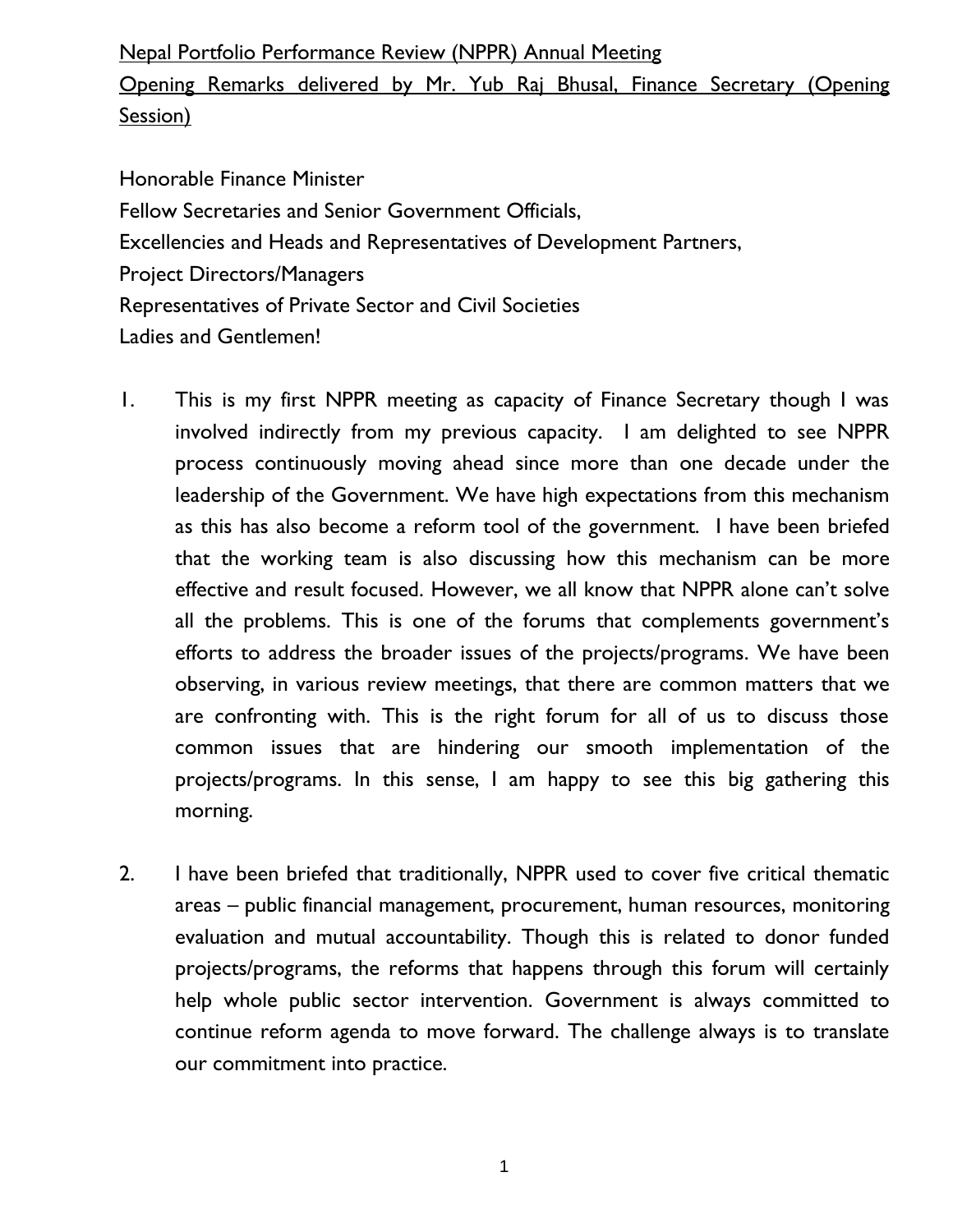## Nepal Portfolio Performance Review (NPPR) Annual Meeting

Opening Remarks delivered by Mr. Yub Raj Bhusal, Finance Secretary (Opening Session)

Honorable Finance Minister Fellow Secretaries and Senior Government Officials, Excellencies and Heads and Representatives of Development Partners, Project Directors/Managers Representatives of Private Sector and Civil Societies Ladies and Gentlemen!

- 1. This is my first NPPR meeting as capacity of Finance Secretary though I was involved indirectly from my previous capacity. I am delighted to see NPPR process continuously moving ahead since more than one decade under the leadership of the Government. We have high expectations from this mechanism as this has also become a reform tool of the government. I have been briefed that the working team is also discussing how this mechanism can be more effective and result focused. However, we all know that NPPR alone can't solve all the problems. This is one of the forums that complements government's efforts to address the broader issues of the projects/programs. We have been observing, in various review meetings, that there are common matters that we are confronting with. This is the right forum for all of us to discuss those common issues that are hindering our smooth implementation of the projects/programs. In this sense, I am happy to see this big gathering this morning.
- 2. I have been briefed that traditionally, NPPR used to cover five critical thematic areas – public financial management, procurement, human resources, monitoring evaluation and mutual accountability. Though this is related to donor funded projects/programs, the reforms that happens through this forum will certainly help whole public sector intervention. Government is always committed to continue reform agenda to move forward. The challenge always is to translate our commitment into practice.

1